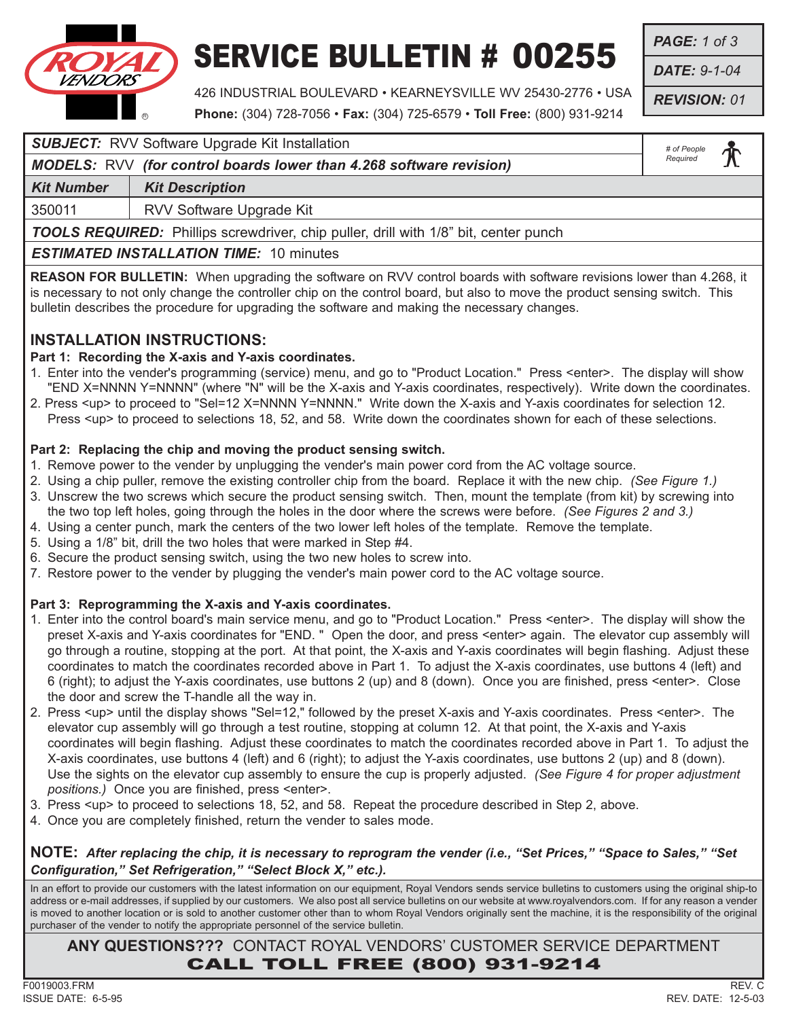

### SERVICE BULLETIN # 00255

*PAGE: 1 of 3*

*DATE: 9-1-04*

*REVISION: 01*

426 INDUSTRIAL BOULEVARD • KEARNEYSVILLE WV 25430-2776 • USA **Phone:** (304) 728-7056 • **Fax:** (304) 725-6579 • **Toll Free:** (800) 931-9214

#### **SUBJECT:** RVV Software Upgrade Kit Installation

#### *MODELS:* RVV *(for control boards lower than 4.268 software revision)*

**Kit Number | Kit Description** 

350011 RVV Software Upgrade Kit

*TOOLS REQUIRED:* Phillips screwdriver, chip puller, drill with 1/8" bit, center punch

#### *ESTIMATED INSTALLATION TIME:* 10 minutes

**REASON FOR BULLETIN:** When upgrading the software on RVV control boards with software revisions lower than 4.268, it is necessary to not only change the controller chip on the control board, but also to move the product sensing switch. This bulletin describes the procedure for upgrading the software and making the necessary changes.

#### **INSTALLATION INSTRUCTIONS:**

#### **Part 1: Recording the X-axis and Y-axis coordinates.**

- 1. Enter into the vender's programming (service) menu, and go to "Product Location." Press <enter>. The display will show "END X=NNNN Y=NNNN" (where "N" will be the X-axis and Y-axis coordinates, respectively). Write down the coordinates.
- 2. Press <up> to proceed to "Sel=12 X=NNNN Y=NNNN." Write down the X-axis and Y-axis coordinates for selection 12. Press <up> to proceed to selections 18, 52, and 58. Write down the coordinates shown for each of these selections.

#### **Part 2: Replacing the chip and moving the product sensing switch.**

- 1. Remove power to the vender by unplugging the vender's main power cord from the AC voltage source.
- 2. Using a chip puller, remove the existing controller chip from the board. Replace it with the new chip. *(See Figure 1.)*
- 3. Unscrew the two screws which secure the product sensing switch. Then, mount the template (from kit) by screwing into
- the two top left holes, going through the holes in the door where the screws were before. *(See Figures 2 and 3.)*
- 4. Using a center punch, mark the centers of the two lower left holes of the template. Remove the template.
- 5. Using a 1/8" bit, drill the two holes that were marked in Step #4.
- 6. Secure the product sensing switch, using the two new holes to screw into.
- 7. Restore power to the vender by plugging the vender's main power cord to the AC voltage source.

#### **Part 3: Reprogramming the X-axis and Y-axis coordinates.**

- 1. Enter into the control board's main service menu, and go to "Product Location." Press <enter>. The display will show the preset X-axis and Y-axis coordinates for "END. " Open the door, and press <enter> again. The elevator cup assembly will go through a routine, stopping at the port. At that point, the X-axis and Y-axis coordinates will begin flashing. Adjust these coordinates to match the coordinates recorded above in Part 1. To adjust the X-axis coordinates, use buttons 4 (left) and 6 (right); to adjust the Y-axis coordinates, use buttons 2 (up) and 8 (down). Once you are finished, press <enter>. Close the door and screw the T-handle all the way in.
- 2. Press <up> until the display shows "Sel=12," followed by the preset X-axis and Y-axis coordinates. Press <enter>. The elevator cup assembly will go through a test routine, stopping at column 12. At that point, the X-axis and Y-axis coordinates will begin flashing. Adjust these coordinates to match the coordinates recorded above in Part 1. To adjust the X-axis coordinates, use buttons 4 (left) and 6 (right); to adjust the Y-axis coordinates, use buttons 2 (up) and 8 (down). Use the sights on the elevator cup assembly to ensure the cup is properly adjusted. *(See Figure 4 for proper adjustment positions.)* Once you are finished, press <enter>.
- 3. Press <up> to proceed to selections 18, 52, and 58. Repeat the procedure described in Step 2, above.
- 4. Once you are completely finished, return the vender to sales mode.

#### **NOTE:** *After replacing the chip, it is necessary to reprogram the vender (i.e., "Set Prices," "Space to Sales," "Set Configuration," Set Refrigeration," "Select Block X," etc.).*

In an effort to provide our customers with the latest information on our equipment, Royal Vendors sends service bulletins to customers using the original ship-to address or e-mail addresses, if supplied by our customers. We also post all service bulletins on our website at www.royalvendors.com. If for any reason a vender is moved to another location or is sold to another customer other than to whom Royal Vendors originally sent the machine, it is the responsibility of the original purchaser of the vender to notify the appropriate personnel of the service bulletin.

**ANY QUESTIONS???** CONTACT ROYAL VENDORS' CUSTOMER SERVICE DEPARTMENT CALL TOLL FREE (800) 931-9214

*# of People Required*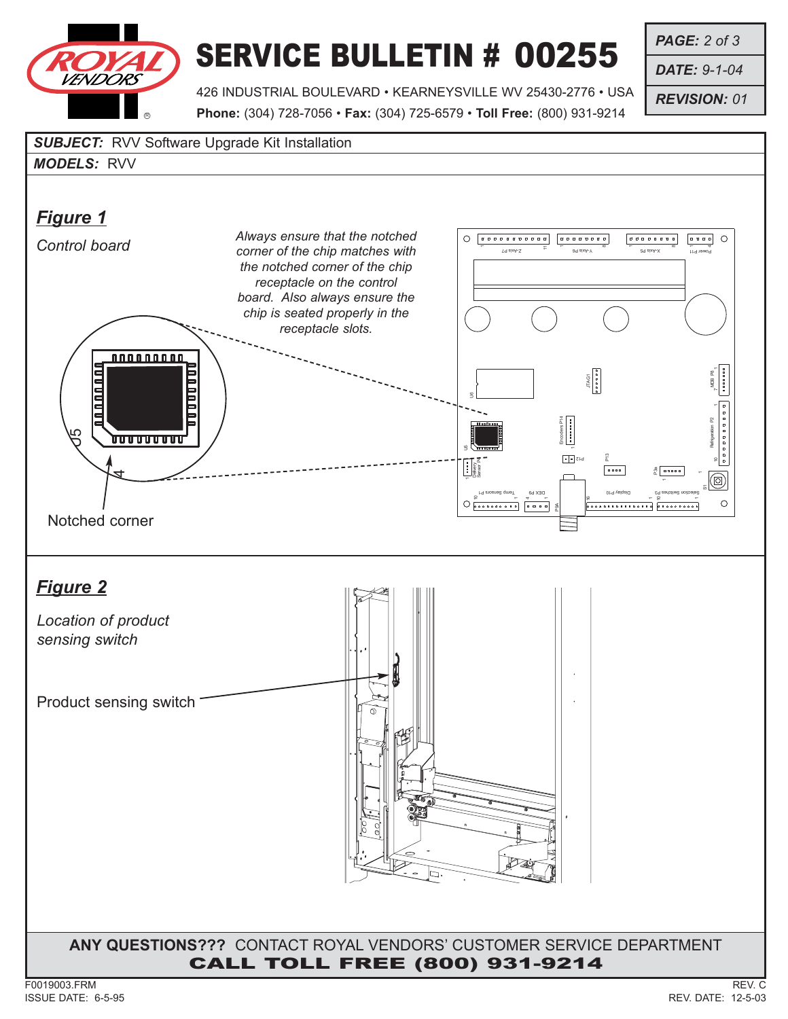# VENDORS R

*Figure 1*

## SERVICE BULLETIN # 00255

*PAGE: 2 of 3*

*DATE: 9-1-04*

*REVISION: 01*

Refrigeration P2 \_\_ MDB P8

10

◙  $\circ$ 

 $\overline{\omega}$ 

 $\lambda$ 

1<br>1<br>1

426 INDUSTRIAL BOULEVARD • KEARNEYSVILLE WV 25430-2776 • USA **Phone:** (304) 728-7056 • **Fax:** (304) 725-6579 • **Toll Free:** (800) 931-9214 *SUBJECT:* RVV Software Upgrade Kit Installation *MODELS:* RVV *Control board Always ensure that the notched corner of the chip matches with*  $\overline{\phantom{a}}$  $Y = \begin{bmatrix} 34 & 8xA-X \end{bmatrix}$  and  $\begin{bmatrix} 34 & 8xA-X \end{bmatrix}$  be a  $\begin{bmatrix} 24 & 8xA-X \end{bmatrix}$  $\alpha$ œ *the notched corner of the chip receptacle on the control board. Also always ensure the chip is seated properly in the receptacle slots.* 000000000 JTAG1 F<br>F<br>F<br>F<br>F U6 Encoders P14 5  $\boxed{\bullet \bullet}$  Zid P13 Delivery Sensor P4  $\sum_{i=1}^{3}$  asses P4 Temp Sensors P10 Sensors P10 Sensors P10 Selection Service P10 Sensors P10 Sensors P10 Sensors P10 Sensors P10 Sensors P10 Sensors P10 Sensors P10 Sensors P10 Sensors P10 Sensors P10 Sensors P10 Sensors P10 Sensors P10 Sen DEX P9 1 1 10 4  $\overline{\phantom{a}}$ . . . . . . . . . . P9A Notched corner*Location of product sensing switch*

Product sensing switch

*Figure 2*

85

<u>1000011</u>

### **ANY QUESTIONS???** CONTACT ROYAL VENDORS' CUSTOMER SERVICE DEPARTMENT CALL TOLL FREE (800) 931-9214